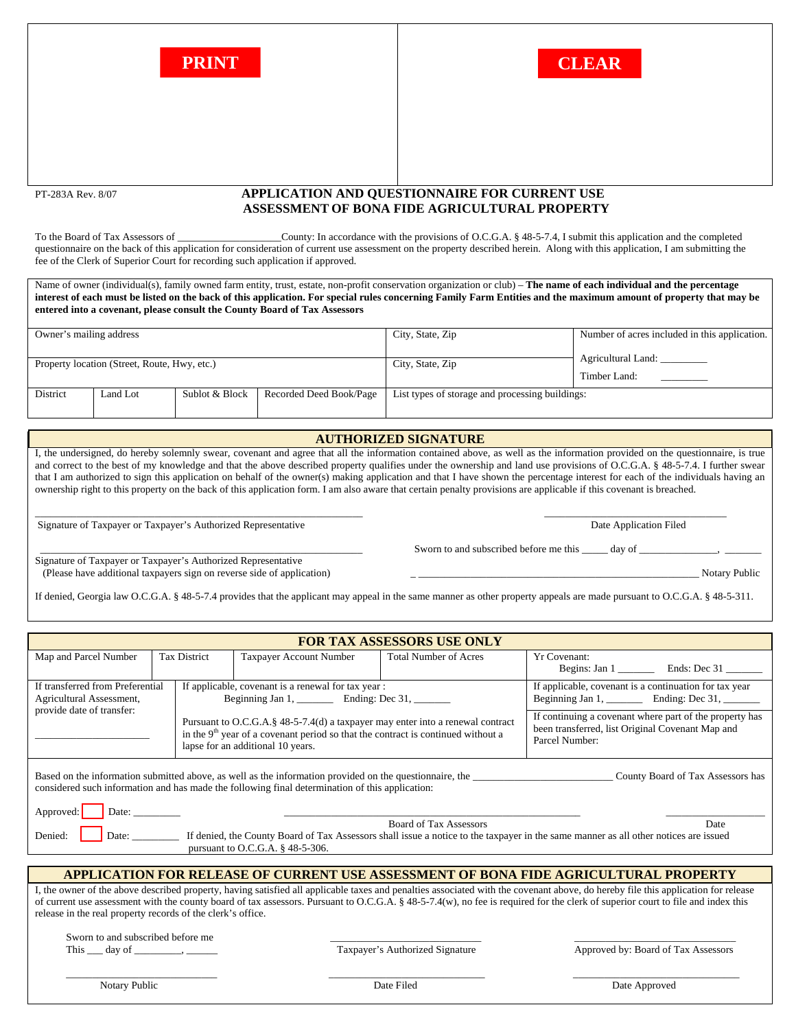



## PT-283A Rev. 8/07 **APPLICATION AND QUESTIONNAIRE FOR CURRENT USE ASSESSMENT OF BONA FIDE AGRICULTURAL PROPERTY**

To the Board of Tax Assessors of \_\_\_\_\_\_\_\_\_\_\_\_\_\_\_\_\_\_\_\_\_\_\_County: In accordance with the provisions of O.C.G.A. § 48-5-7.4, I submit this application and the completed questionnaire on the back of this application for consideration of current use assessment on the property described herein. Along with this application, I am submitting the fee of the Clerk of Superior Court for recording such application if approved.

Name of owner (individual(s), family owned farm entity, trust, estate, non-profit conservation organization or club) – **The name of each individual and the percentage interest of each must be listed on the back of this application. For special rules concerning Family Farm Entities and the maximum amount of property that may be entered into a covenant, please consult the County Board of Tax Assessors** 

| Owner's mailing address                      |          |                |                         | City, State, Zip                                | Number of acres included in this application. |  |  |
|----------------------------------------------|----------|----------------|-------------------------|-------------------------------------------------|-----------------------------------------------|--|--|
| Property location (Street, Route, Hwy, etc.) |          |                |                         | City, State, Zip                                | Agricultural Land:<br>Timber Land:            |  |  |
| District                                     | Land Lot | Sublot & Block | Recorded Deed Book/Page | List types of storage and processing buildings: |                                               |  |  |

## **AUTHORIZED SIGNATURE AUTHORIZED SIGNATURE**

I, the undersigned, do hereby solemnly swear, covenant and agree that all the information contained above, as well as the information provided on the questionnaire, is true and correct to the best of my knowledge and that the above described property qualifies under the ownership and land use provisions of O.C.G.A. § 48-5-7.4. I further swear that I am authorized to sign this application on behalf of the owner(s) making application and that I have shown the percentage interest for each of the individuals having an ownership right to this property on the back of this application form. I am also aware that certain penalty provisions are applicable if this covenant is breached.

\_\_\_\_\_\_\_\_\_\_\_\_\_\_\_\_\_\_\_\_\_\_\_\_\_\_\_\_\_\_\_\_\_\_\_\_\_\_\_\_\_\_\_\_\_\_\_\_\_\_\_\_\_\_\_\_\_\_\_\_\_\_\_ \_\_\_\_\_\_\_\_\_\_\_\_\_\_\_\_\_\_\_\_\_\_\_\_\_\_\_\_\_\_\_\_\_\_\_ Signature of Taxpayer or Taxpayer's Authorized Representative Date Application Filed

\_\_\_\_\_\_\_\_\_\_\_\_\_\_\_\_\_\_\_\_\_\_\_\_\_\_\_\_\_\_\_\_\_\_\_\_\_\_\_\_\_\_\_\_\_\_\_\_\_\_\_\_\_\_\_\_\_\_\_\_\_\_ Sworn to and subscribed before me this \_\_\_\_\_ day of \_\_\_\_\_\_\_\_\_\_\_\_\_\_\_, \_\_\_\_\_\_\_

Signature of Taxpayer or Taxpayer's Authorized Representative (Please have additional taxpayers sign on reverse side of application) \_ \_\_\_\_\_\_\_\_\_\_\_\_\_\_\_\_\_\_\_\_\_\_\_\_\_\_\_\_\_\_\_\_\_\_\_\_\_\_\_\_\_\_\_\_\_\_\_\_\_\_\_\_\_\_ Notary Public

If denied, Georgia law O.C.G.A. § 48-5-7.4 provides that the applicant may appeal in the same manner as other property appeals are made pursuant to O.C.G.A. § 48-5-311.

| <b>FOR TAX ASSESSORS USE ONLY</b>                                                                                                                                                                                                                                                                                                                                                                                                   |              |                                                                                                                                                                                                           |                                                                                                                               |                     |  |  |  |  |
|-------------------------------------------------------------------------------------------------------------------------------------------------------------------------------------------------------------------------------------------------------------------------------------------------------------------------------------------------------------------------------------------------------------------------------------|--------------|-----------------------------------------------------------------------------------------------------------------------------------------------------------------------------------------------------------|-------------------------------------------------------------------------------------------------------------------------------|---------------------|--|--|--|--|
| Map and Parcel Number                                                                                                                                                                                                                                                                                                                                                                                                               | Tax District | Taxpayer Account Number                                                                                                                                                                                   | <b>Total Number of Acres</b>                                                                                                  | <b>Yr Covenant:</b> |  |  |  |  |
| If transferred from Preferential<br>Agricultural Assessment,                                                                                                                                                                                                                                                                                                                                                                        |              | If applicable, covenant is a renewal for tax year :<br>Beginning Jan 1, ____________ Ending: Dec 31, ________                                                                                             | If applicable, covenant is a continuation for tax year                                                                        |                     |  |  |  |  |
| provide date of transfer:                                                                                                                                                                                                                                                                                                                                                                                                           |              | Pursuant to O.C.G.A.§ 48-5-7.4(d) a taxpayer may enter into a renewal contract<br>in the $9th$ year of a covenant period so that the contract is continued without a<br>lapse for an additional 10 years. | If continuing a covenant where part of the property has<br>been transferred, list Original Covenant Map and<br>Parcel Number: |                     |  |  |  |  |
| County Board of Tax Assessors has<br>considered such information and has made the following final determination of this application:                                                                                                                                                                                                                                                                                                |              |                                                                                                                                                                                                           |                                                                                                                               |                     |  |  |  |  |
| Approved:<br>Date: $\qquad \qquad$<br><b>Board of Tax Assessors</b><br>Date<br>Denied:<br>Date: ___________ If denied, the County Board of Tax Assessors shall issue a notice to the taxpayer in the same manner as all other notices are issued<br>pursuant to O.C.G.A. § 48-5-306.                                                                                                                                                |              |                                                                                                                                                                                                           |                                                                                                                               |                     |  |  |  |  |
| <b>APPLICATION FOR RELEASE OF CURRENT USE ASSESSMENT OF BONA FIDE AGRICULTURAL PROPERTY</b>                                                                                                                                                                                                                                                                                                                                         |              |                                                                                                                                                                                                           |                                                                                                                               |                     |  |  |  |  |
| I, the owner of the above described property, having satisfied all applicable taxes and penalties associated with the covenant above, do hereby file this application for release<br>of current use assessment with the county board of tax assessors. Pursuant to O.C.G.A. § 48-5-7.4(w), no fee is required for the clerk of superior court to file and index this<br>release in the real property records of the clerk's office. |              |                                                                                                                                                                                                           |                                                                                                                               |                     |  |  |  |  |
| Sworn to and subscribed before me<br>This $\_\_\_$ day of $\_\_\_\_\_\_\_\_\_\_\_\_\_\_\_\_\_\_\_\_\_\_\_\_\_\_$                                                                                                                                                                                                                                                                                                                    |              |                                                                                                                                                                                                           | Taxpayer's Authorized Signature<br>Approved by: Board of Tax Assessors                                                        |                     |  |  |  |  |

Notary Public **Date Approved** Date Approved Date Approved Date Approved Date Approved Date Approved Date Approved